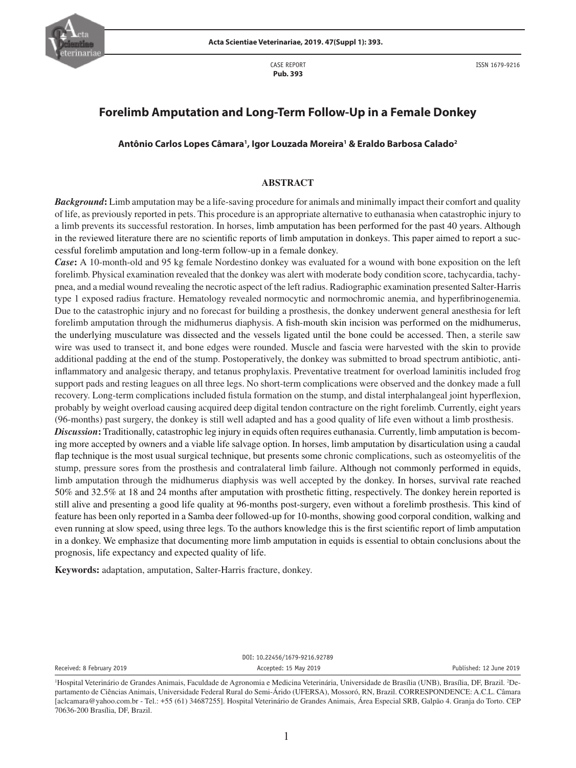

CASE REPORT **Pub. 393**

# **Forelimb Amputation and Long-Term Follow-Up in a Female Donkey**

**Antônio Carlos Lopes Câmara1 , Igor Louzada Moreira1 & Eraldo Barbosa Calado2**

### **ABSTRACT**

*Background***:** Limb amputation may be a life-saving procedure for animals and minimally impact their comfort and quality of life, as previously reported in pets. This procedure is an appropriate alternative to euthanasia when catastrophic injury to a limb prevents its successful restoration. In horses, limb amputation has been performed for the past 40 years. Although in the reviewed literature there are no scientific reports of limb amputation in donkeys. This paper aimed to report a successful forelimb amputation and long-term follow-up in a female donkey.

*Case***:** A 10-month-old and 95 kg female Nordestino donkey was evaluated for a wound with bone exposition on the left forelimb. Physical examination revealed that the donkey was alert with moderate body condition score, tachycardia, tachypnea, and a medial wound revealing the necrotic aspect of the left radius. Radiographic examination presented Salter-Harris type 1 exposed radius fracture. Hematology revealed normocytic and normochromic anemia, and hyperfibrinogenemia. Due to the catastrophic injury and no forecast for building a prosthesis, the donkey underwent general anesthesia for left forelimb amputation through the midhumerus diaphysis. A fish-mouth skin incision was performed on the midhumerus, the underlying musculature was dissected and the vessels ligated until the bone could be accessed. Then, a sterile saw wire was used to transect it, and bone edges were rounded. Muscle and fascia were harvested with the skin to provide additional padding at the end of the stump. Postoperatively, the donkey was submitted to broad spectrum antibiotic, antiinflammatory and analgesic therapy, and tetanus prophylaxis. Preventative treatment for overload laminitis included frog support pads and resting leagues on all three legs. No short-term complications were observed and the donkey made a full recovery. Long-term complications included fistula formation on the stump, and distal interphalangeal joint hyperflexion, probably by weight overload causing acquired deep digital tendon contracture on the right forelimb. Currently, eight years (96-months) past surgery, the donkey is still well adapted and has a good quality of life even without a limb prosthesis. *Discussion***:** Traditionally, catastrophic leg injury in equids often requires euthanasia. Currently, limb amputation is becoming more accepted by owners and a viable life salvage option. In horses, limb amputation by disarticulation using a caudal flap technique is the most usual surgical technique, but presents some chronic complications, such as osteomyelitis of the stump, pressure sores from the prosthesis and contralateral limb failure. Although not commonly performed in equids, limb amputation through the midhumerus diaphysis was well accepted by the donkey. In horses, survival rate reached 50% and 32.5% at 18 and 24 months after amputation with prosthetic fitting, respectively. The donkey herein reported is

still alive and presenting a good life quality at 96-months post-surgery, even without a forelimb prosthesis. This kind of feature has been only reported in a Samba deer followed-up for 10-months, showing good corporal condition, walking and even running at slow speed, using three legs. To the authors knowledge this is the first scientific report of limb amputation in a donkey. We emphasize that documenting more limb amputation in equids is essential to obtain conclusions about the prognosis, life expectancy and expected quality of life.

**Keywords:** adaptation, amputation, Salter-Harris fracture, donkey.

DOI: 10.22456/1679-9216.92789 Received: 8 February 2019 **Accepted: 15 May 2019** Accepted: 15 May 2019 **Published: 12 June 2019** Published: 12 June 2019

<sup>&</sup>lt;sup>1</sup>Hospital Veterinário de Grandes Animais, Faculdade de Agronomia e Medicina Veterinária, Universidade de Brasília (UNB), Brasília, DF, Brazil. <sup>2</sup>Departamento de Ciências Animais, Universidade Federal Rural do Semi-Árido (UFERSA), Mossoró, RN, Brazil. CORRESPONDENCE: A.C.L. Câmara [aclcamara@yahoo.com.br - Tel.: +55 (61) 34687255]. Hospital Veterinário de Grandes Animais, Área Especial SRB, Galpão 4. Granja do Torto. CEP 70636-200 Brasília, DF, Brazil.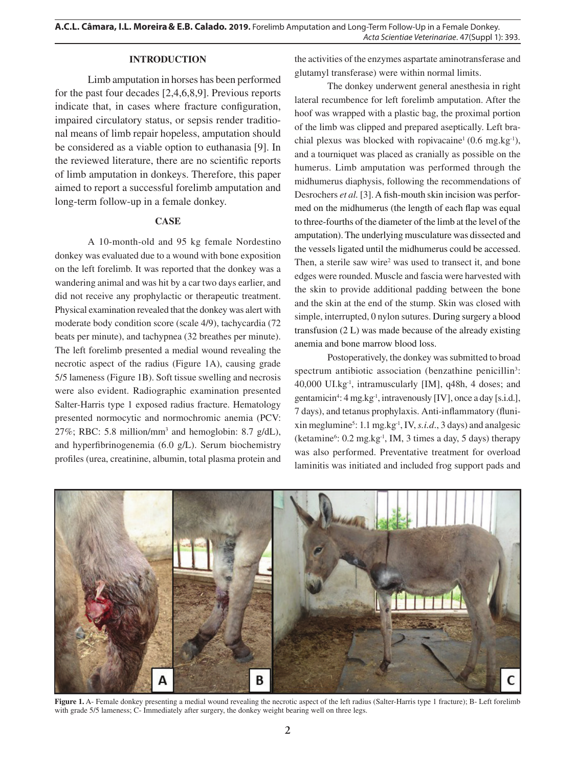## **INTRODUCTION**

Limb amputation in horses has been performed for the past four decades [2,4,6,8,9]. Previous reports indicate that, in cases where fracture configuration, impaired circulatory status, or sepsis render traditional means of limb repair hopeless, amputation should be considered as a viable option to euthanasia [9]. In the reviewed literature, there are no scientific reports of limb amputation in donkeys. Therefore, this paper aimed to report a successful forelimb amputation and long-term follow-up in a female donkey.

## **CASE**

A 10-month-old and 95 kg female Nordestino donkey was evaluated due to a wound with bone exposition on the left forelimb. It was reported that the donkey was a wandering animal and was hit by a car two days earlier, and did not receive any prophylactic or therapeutic treatment. Physical examination revealed that the donkey was alert with moderate body condition score (scale 4/9), tachycardia (72 beats per minute), and tachypnea (32 breathes per minute). The left forelimb presented a medial wound revealing the necrotic aspect of the radius (Figure 1A), causing grade 5/5 lameness (Figure 1B). Soft tissue swelling and necrosis were also evident. Radiographic examination presented Salter-Harris type 1 exposed radius fracture. Hematology presented normocytic and normochromic anemia (PCV: 27%; RBC: 5.8 million/mm<sup>3</sup> and hemoglobin: 8.7  $g/dL$ ), and hyperfibrinogenemia (6.0 g/L). Serum biochemistry profiles (urea, creatinine, albumin, total plasma protein and

the activities of the enzymes aspartate aminotransferase and glutamyl transferase) were within normal limits.

The donkey underwent general anesthesia in right lateral recumbence for left forelimb amputation. After the hoof was wrapped with a plastic bag, the proximal portion of the limb was clipped and prepared aseptically. Left brachial plexus was blocked with ropivacaine<sup>1</sup> (0.6 mg.kg<sup>-1</sup>), and a tourniquet was placed as cranially as possible on the humerus. Limb amputation was performed through the midhumerus diaphysis, following the recommendations of Desrochers *et al.* [3]. A fish-mouth skin incision was performed on the midhumerus (the length of each flap was equal to three-fourths of the diameter of the limb at the level of the amputation). The underlying musculature was dissected and the vessels ligated until the midhumerus could be accessed. Then, a sterile saw wire<sup>2</sup> was used to transect it, and bone edges were rounded. Muscle and fascia were harvested with the skin to provide additional padding between the bone and the skin at the end of the stump. Skin was closed with simple, interrupted, 0 nylon sutures. During surgery a blood transfusion (2 L) was made because of the already existing anemia and bone marrow blood loss.

Postoperatively, the donkey was submitted to broad spectrum antibiotic association (benzathine penicillin<sup>3</sup>: 40,000 UI.kg-1, intramuscularly [IM], q48h, 4 doses; and gentamicin4 : 4 mg.kg-1, intravenously [IV], once a day [s.i.d*.*], 7 days), and tetanus prophylaxis. Anti-inflammatory (fluni $x$ in meglumine<sup>5</sup>: 1.1 mg.kg<sup>-1</sup>, IV, *s.i.d.*, 3 days) and analgesic (ketamine<sup>6</sup>: 0.2 mg.kg<sup>-1</sup>, IM, 3 times a day, 5 days) therapy was also performed. Preventative treatment for overload laminitis was initiated and included frog support pads and



**Figure 1.** A- Female donkey presenting a medial wound revealing the necrotic aspect of the left radius (Salter-Harris type 1 fracture); B- Left forelimb with grade 5/5 lameness; C- Immediately after surgery, the donkey weight bearing well on three legs.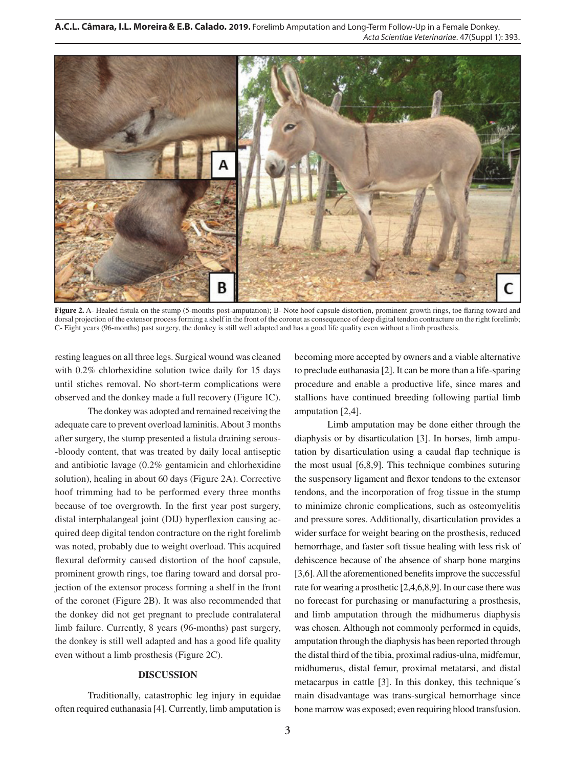**A.C.L. Câmara, I.L. Moreira& E.B. Calado***.* **2019.** Forelimb Amputation and Long-Term Follow-Up in a Female Donkey. *Acta Scientiae Veterinariae*. 47(Suppl 1): 393.



**Figure 2.** A- Healed fistula on the stump (5-months post-amputation); B- Note hoof capsule distortion, prominent growth rings, toe flaring toward and dorsal projection of the extensor process forming a shelf in the front of the coronet as consequence of deep digital tendon contracture on the right forelimb; C- Eight years (96-months) past surgery, the donkey is still well adapted and has a good life quality even without a limb prosthesis.

resting leagues on all three legs. Surgical wound was cleaned with 0.2% chlorhexidine solution twice daily for 15 days until stiches removal. No short-term complications were observed and the donkey made a full recovery (Figure 1C).

The donkey was adopted and remained receiving the adequate care to prevent overload laminitis. About 3 months after surgery, the stump presented a fistula draining serous- -bloody content, that was treated by daily local antiseptic and antibiotic lavage (0.2% gentamicin and chlorhexidine solution), healing in about 60 days (Figure 2A). Corrective hoof trimming had to be performed every three months because of toe overgrowth. In the first year post surgery, distal interphalangeal joint (DIJ) hyperflexion causing acquired deep digital tendon contracture on the right forelimb was noted, probably due to weight overload. This acquired flexural deformity caused distortion of the hoof capsule, prominent growth rings, toe flaring toward and dorsal projection of the extensor process forming a shelf in the front of the coronet (Figure 2B). It was also recommended that the donkey did not get pregnant to preclude contralateral limb failure. Currently, 8 years (96-months) past surgery, the donkey is still well adapted and has a good life quality even without a limb prosthesis (Figure 2C).

## **DISCUSSION**

Traditionally, catastrophic leg injury in equidae often required euthanasia [4]. Currently, limb amputation is

becoming more accepted by owners and a viable alternative to preclude euthanasia [2]. It can be more than a life-sparing procedure and enable a productive life, since mares and stallions have continued breeding following partial limb amputation [2,4].

Limb amputation may be done either through the diaphysis or by disarticulation [3]. In horses, limb amputation by disarticulation using a caudal flap technique is the most usual [6,8,9]. This technique combines suturing the suspensory ligament and flexor tendons to the extensor tendons, and the incorporation of frog tissue in the stump to minimize chronic complications, such as osteomyelitis and pressure sores. Additionally, disarticulation provides a wider surface for weight bearing on the prosthesis, reduced hemorrhage, and faster soft tissue healing with less risk of dehiscence because of the absence of sharp bone margins [3,6]. All the aforementioned benefits improve the successful rate for wearing a prosthetic [2,4,6,8,9]. In our case there was no forecast for purchasing or manufacturing a prosthesis, and limb amputation through the midhumerus diaphysis was chosen. Although not commonly performed in equids, amputation through the diaphysis has been reported through the distal third of the tibia, proximal radius-ulna, midfemur, midhumerus, distal femur, proximal metatarsi, and distal metacarpus in cattle [3]. In this donkey, this technique´s main disadvantage was trans-surgical hemorrhage since bone marrow was exposed; even requiring blood transfusion.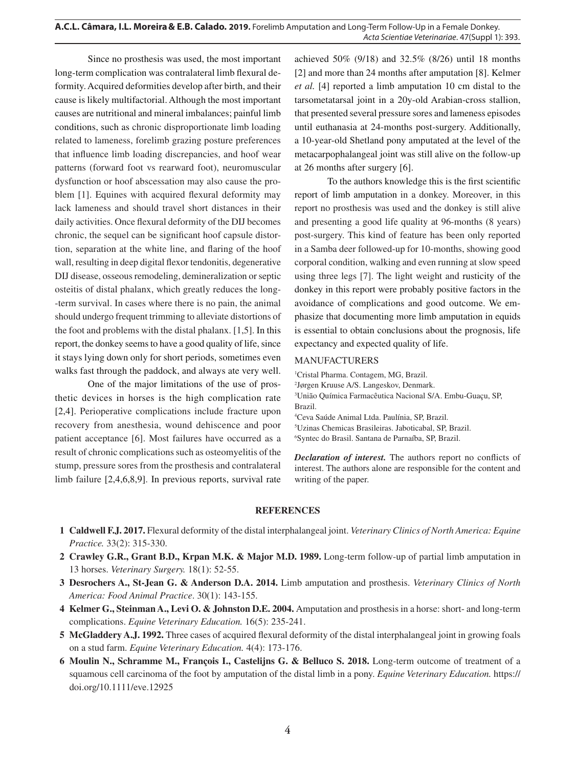Since no prosthesis was used, the most important long-term complication was contralateral limb flexural deformity. Acquired deformities develop after birth, and their cause is likely multifactorial. Although the most important causes are nutritional and mineral imbalances; painful limb conditions, such as chronic disproportionate limb loading related to lameness, forelimb grazing posture preferences that influence limb loading discrepancies, and hoof wear patterns (forward foot vs rearward foot), neuromuscular dysfunction or hoof abscessation may also cause the problem [1]. Equines with acquired flexural deformity may lack lameness and should travel short distances in their daily activities. Once flexural deformity of the DIJ becomes chronic, the sequel can be significant hoof capsule distortion, separation at the white line, and flaring of the hoof wall, resulting in deep digital flexor tendonitis, degenerative DIJ disease, osseous remodeling, demineralization or septic osteitis of distal phalanx, which greatly reduces the long- -term survival. In cases where there is no pain, the animal should undergo frequent trimming to alleviate distortions of the foot and problems with the distal phalanx. [1,5]. In this report, the donkey seems to have a good quality of life, since it stays lying down only for short periods, sometimes even walks fast through the paddock, and always ate very well.

One of the major limitations of the use of prosthetic devices in horses is the high complication rate [2,4]. Perioperative complications include fracture upon recovery from anesthesia, wound dehiscence and poor patient acceptance [6]. Most failures have occurred as a result of chronic complications such as osteomyelitis of the stump, pressure sores from the prosthesis and contralateral limb failure [2,4,6,8,9]. In previous reports, survival rate achieved 50% (9/18) and 32.5% (8/26) until 18 months [2] and more than 24 months after amputation [8]. Kelmer *et al.* [4] reported a limb amputation 10 cm distal to the tarsometatarsal joint in a 20y-old Arabian-cross stallion, that presented several pressure sores and lameness episodes until euthanasia at 24-months post-surgery. Additionally, a 10-year-old Shetland pony amputated at the level of the metacarpophalangeal joint was still alive on the follow-up at 26 months after surgery [6].

To the authors knowledge this is the first scientific report of limb amputation in a donkey. Moreover, in this report no prosthesis was used and the donkey is still alive and presenting a good life quality at 96-months (8 years) post-surgery. This kind of feature has been only reported in a Samba deer followed-up for 10-months, showing good corporal condition, walking and even running at slow speed using three legs [7]. The light weight and rusticity of the donkey in this report were probably positive factors in the avoidance of complications and good outcome. We emphasize that documenting more limb amputation in equids is essential to obtain conclusions about the prognosis, life expectancy and expected quality of life.

#### MANUFACTURERS

 Cristal Pharma. Contagem, MG, Brazil. Jørgen Kruuse A/S. Langeskov, Denmark. União Química Farmacêutica Nacional S/A. Embu-Guaçu, SP, Brazil. Ceva Saúde Animal Ltda. Paulínia, SP, Brazil. Uzinas Chemicas Brasileiras. Jaboticabal, SP, Brazil. Syntec do Brasil. Santana de Parnaíba, SP, Brazil.

*Declaration of interest.* The authors report no conflicts of interest. The authors alone are responsible for the content and writing of the paper.

#### **REFERENCES**

- **1 Caldwell F.J. 2017.** Flexural deformity of the distal interphalangeal joint. *Veterinary Clinics of North America: Equine Practice.* 33(2): 315-330.
- **2 Crawley G.R., Grant B.D., Krpan M.K. & Major M.D. 1989.** Long-term follow-up of partial limb amputation in 13 horses. *Veterinary Surgery.* 18(1): 52-55.
- **3 Desrochers A., St-Jean G. & Anderson D.A. 2014.** Limb amputation and prosthesis. *Veterinary Clinics of North America: Food Animal Practice*. 30(1): 143-155.
- **4 Kelmer G., Steinman A., Levi O. & Johnston D.E. 2004.** Amputation and prosthesis in a horse: short- and long-term complications. *Equine Veterinary Education.* 16(5): 235-241.
- **5 McGladdery A.J. 1992.** Three cases of acquired flexural deformity of the distal interphalangeal joint in growing foals on a stud farm. *Equine Veterinary Education.* 4(4): 173-176.
- **6 Moulin N., Schramme M., François I., Castelijns G. & Belluco S. 2018.** Long-term outcome of treatment of a squamous cell carcinoma of the foot by amputation of the distal limb in a pony. *Equine Veterinary Education.* https:// doi.org/10.1111/eve.12925